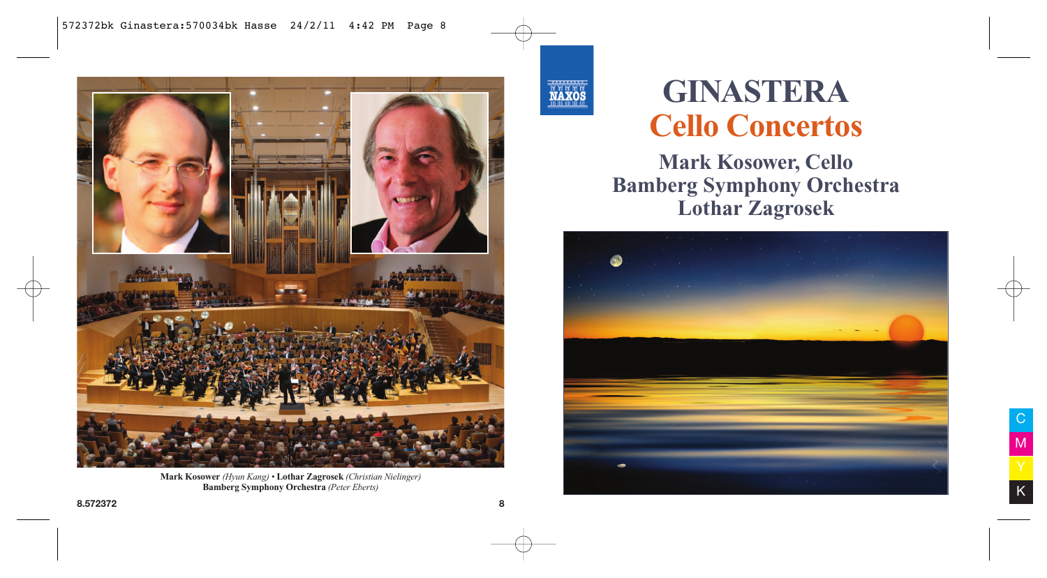

**Mark Kosower** *(Hyun Kang) •* **Lothar Zagrosek** *(Christian Nielinger)* **Bamberg Symphony Orchestra** *(Peter Eberts)*



# **GINASTERA Cello Concertos**

**Mark Kosower, Cello Bamberg Symphony Orchestra Lothar Zagrosek**

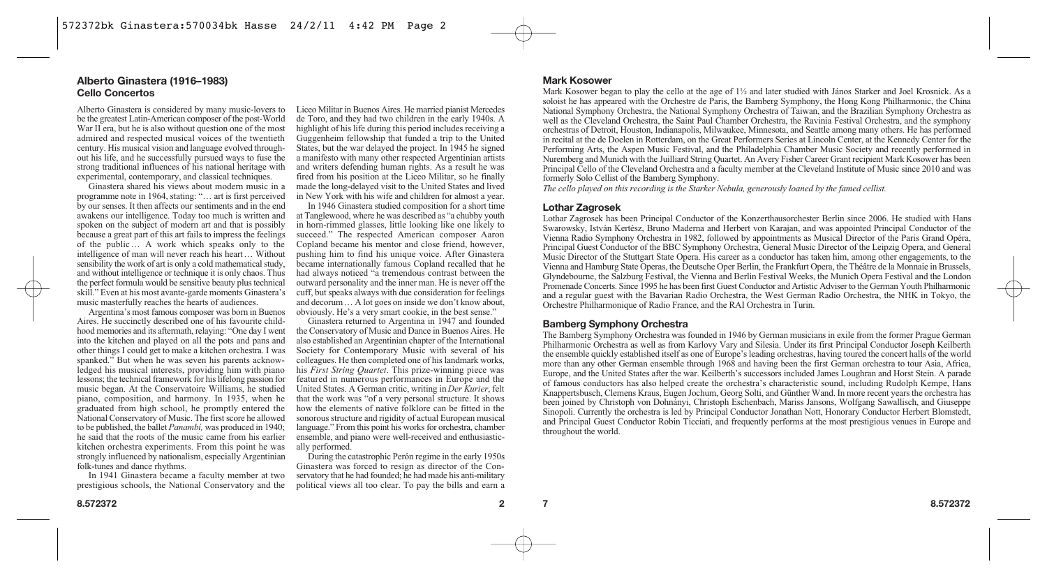## **Alberto Ginastera (1916–1983) Cello Concertos**

Alberto Ginastera is considered by many music-lovers to be the greatest Latin-American composer of the post-World War II era, but he is also without question one of the most admired and respected musical voices of the twentieth century. His musical vision and language evolved throughout his life, and he successfully pursued ways to fuse the strong traditional influences of his national heritage with experimental, contemporary, and classical techniques.

Ginastera shared his views about modern music in a programme note in 1964, stating: "… art is first perceived by our senses. It then affects our sentiments and in the end awakens our intelligence. Today too much is written and spoken on the subject of modern art and that is possibly because a great part of this art fails to impress the feelings of the public… A work which speaks only to the intelligence of man will never reach his heart… Without sensibility the work of art is only a cold mathematical study, and without intelligence or technique it is only chaos. Thus the perfect formula would be sensitive beauty plus technical skill." Even at his most avante-garde moments Ginastera's music masterfully reaches the hearts of audiences.

Argentina's most famous composer was born in Buenos Aires. He succinctly described one of his favourite childhood memories and its aftermath, relaying: "One day I went into the kitchen and played on all the pots and pans and other things I could get to make a kitchen orchestra. I was spanked." But when he was seven his parents acknowledged his musical interests, providing him with piano lessons; the technical framework for his lifelong passion for music began. At the Conservatoire Williams, he studied piano, composition, and harmony. In 1935, when he graduated from high school, he promptly entered the National Conservatory of Music. The first score he allowed to be published, the ballet *Panambí,* was produced in 1940; he said that the roots of the music came from his earlier kitchen orchestra experiments. From this point he was strongly influenced by nationalism, especially Argentinian folk-tunes and dance rhythms.

In 1941 Ginastera became a faculty member at two prestigious schools, the National Conservatory and the Liceo Militar in Buenos Aires. He married pianist Mercedes de Toro, and they had two children in the early 1940s. A highlight of his life during this period includes receiving a Guggenheim fellowship that funded a trip to the United States, but the war delayed the project. In 1945 he signed a manifesto with many other respected Argentinian artists and writers defending human rights. As a result he was fired from his position at the Liceo Militar, so he finally made the long-delayed visit to the United States and lived in New York with his wife and children for almost a year.

In 1946 Ginastera studied composition for a short time at Tanglewood, where he was described as "a chubby youth in horn-rimmed glasses, little looking like one likely to succeed." The respected American composer Aaron Copland became his mentor and close friend, however, pushing him to find his unique voice. After Ginastera became internationally famous Copland recalled that he had always noticed "a tremendous contrast between the outward personality and the inner man. He is never off the cuff, but speaks always with due consideration for feelings and decorum… A lot goes on inside we don't know about, obviously. He's a very smart cookie, in the best sense."

Ginastera returned to Argentina in 1947 and founded the Conservatory of Music and Dance in Buenos Aires. He also established an Argentinian chapter of the International Society for Contemporary Music with several of his colleagues. He then completed one of his landmark works, his *First String Quartet*. This prize-winning piece was featured in numerous performances in Europe and the United States. A German critic, writing in *Der Kurier*, felt that the work was "of a very personal structure. It shows how the elements of native folklore can be fitted in the sonorous structure and rigidity of actual European musical language." From this point his works for orchestra, chamber ensemble, and piano were well-received and enthusiastically performed.

During the catastrophic Perón regime in the early 1950s Ginastera was forced to resign as director of the Conservatory that he had founded; he had made his anti-military political views all too clear. To pay the bills and earn a

## **Mark Kosower**

Mark Kosower began to play the cello at the age of 1½ and later studied with János Starker and Joel Krosnick. As a soloist he has appeared with the Orchestre de Paris, the Bamberg Symphony, the Hong Kong Philharmonic, the China National Symphony Orchestra, the National Symphony Orchestra of Taiwan, and the Brazilian Symphony Orchestra as well as the Cleveland Orchestra, the Saint Paul Chamber Orchestra, the Ravinia Festival Orchestra, and the symphony orchestras of Detroit, Houston, Indianapolis, Milwaukee, Minnesota, and Seattle among many others. He has performed in recital at the de Doelen in Rotterdam, on the Great Performers Series at Lincoln Center, at the Kennedy Center for the Performing Arts, the Aspen Music Festival, and the Philadelphia Chamber Music Society and recently performed in Nuremberg and Munich with the Juilliard String Quartet. An Avery Fisher Career Grant recipient Mark Kosower has been Principal Cello of the Cleveland Orchestra and a faculty member at the Cleveland Institute of Music since 2010 and was formerly Solo Cellist of the Bamberg Symphony.

*The cello played on this recording is the Starker Nebula, generously loaned by the famed cellist.*

### **Lothar Zagrosek**

Lothar Zagrosek has been Principal Conductor of the Konzerthausorchester Berlin since 2006. He studied with Hans Swarowsky, István Kertész, Bruno Maderna and Herbert von Karajan, and was appointed Principal Conductor of the Vienna Radio Symphony Orchestra in 1982, followed by appointments as Musical Director of the Paris Grand Opéra, Principal Guest Conductor of the BBC Symphony Orchestra, General Music Director of the Leipzig Opera, and General Music Director of the Stuttgart State Opera. His career as a conductor has taken him, among other engagements, to the Vienna and Hamburg State Operas, the Deutsche Oper Berlin, the Frankfurt Opera, the Théâtre de la Monnaie in Brussels, Glyndebourne, the Salzburg Festival, the Vienna and Berlin Festival Weeks, the Munich Opera Festival and the London Promenade Concerts. Since 1995 he has been first Guest Conductor and Artistic Adviser to the German Youth Philharmonic and a regular guest with the Bavarian Radio Orchestra, the West German Radio Orchestra, the NHK in Tokyo, the Orchestre Philharmonique of Radio France, and the RAI Orchestra in Turin.

#### **Bamberg Symphony Orchestra**

The Bamberg Symphony Orchestra was founded in 1946 by German musicians in exile from the former Prague German Philharmonic Orchestra as well as from Karlovy Vary and Silesia. Under its first Principal Conductor Joseph Keilberth the ensemble quickly established itself as one of Europe's leading orchestras, having toured the concert halls of the world more than any other German ensemble through 1968 and having been the first German orchestra to tour Asia, Africa, Europe, and the United States after the war. Keilberth's successors included James Loughran and Horst Stein. A parade of famous conductors has also helped create the orchestra's characteristic sound, including Rudolph Kempe, Hans Knappertsbusch, Clemens Kraus, Eugen Jochum, Georg Solti, and Günther Wand. In more recent years the orchestra has been joined by Christoph von Dohnányi, Christoph Eschenbach, Mariss Jansons, Wolfgang Sawallisch, and Giuseppe Sinopoli. Currently the orchestra is led by Principal Conductor Jonathan Nott, Honorary Conductor Herbert Blomstedt, and Principal Guest Conductor Robin Ticciati, and frequently performs at the most prestigious venues in Europe and throughout the world.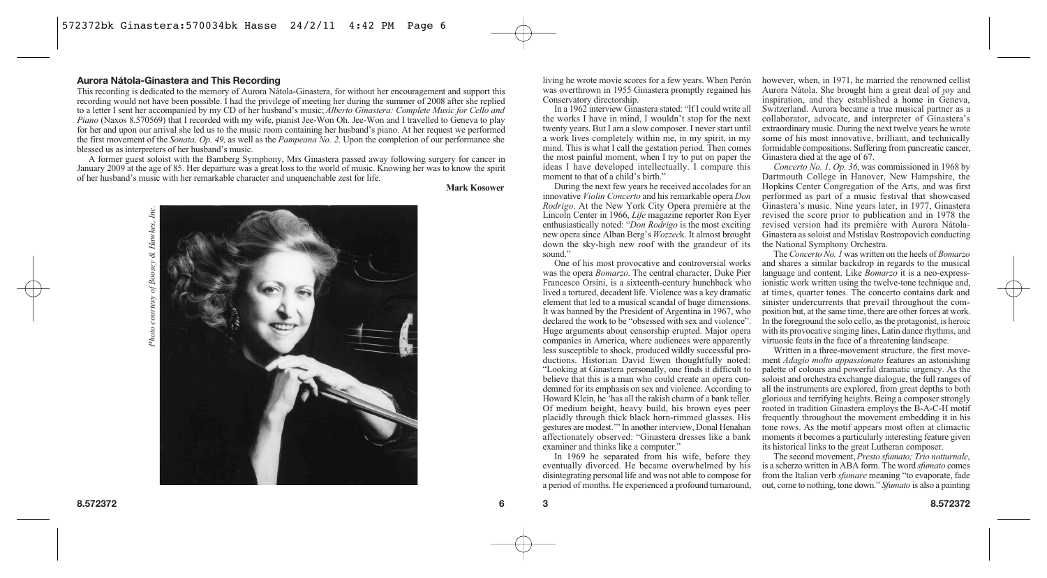#### **Aurora Nátola-Ginastera and This Recording**

This recording is dedicated to the memory of Aurora Nátola-Ginastera, for without her encouragement and support this recording would not have been possible. I had the privilege of meeting her during the summer of 2008 after she replied to a letter I sent her accompanied by my CD of her husband's music; *Alberto Ginastera: Complete Music for Cello and Piano* (Naxos 8.570569) that I recorded with my wife, pianist Jee-Won Oh. Jee-Won and I travelled to Geneva to play for her and upon our arrival she led us to the music room containing her husband's piano. At her request we performed the first movement of the *Sonata, Op. 49,* as well as the *Pampeana No. 2*. Upon the completion of our performance she blessed us as interpreters of her husband's music.

A former guest soloist with the Bamberg Symphony, Mrs Ginastera passed away following surgery for cancer in January 2009 at the age of 85. Her departure was a great loss to the world of music. Knowing her was to know the spirit of her husband's music with her remarkable character and unquenchable zest for life.

**Mark Kosower**



living he wrote movie scores for a few years. When Perón was overthrown in 1955 Ginastera promptly regained his Conservatory directorship.

In a 1962 interview Ginastera stated: "If I could write all the works I have in mind, I wouldn't stop for the next twenty years. But I am a slow composer. I never start until a work lives completely within me, in my spirit, in my mind. This is what I call the gestation period. Then comes the most painful moment, when I try to put on paper the ideas I have developed intellectually. I compare this moment to that of a child's birth."

During the next few years he received accolades for an innovative *Violin Concerto* and his remarkable opera *Don Rodrigo*. At the New York City Opera première at the Lincoln Center in 1966, *Life* magazine reporter Ron Eyer enthusiastically noted: "*Don Rodrigo* is the most exciting new opera since Alban Berg's *Wozzec*k. It almost brought down the sky-high new roof with the grandeur of its sound."

One of his most provocative and controversial works was the opera *Bomarzo*. The central character, Duke Pier Francesco Orsini, is a sixteenth-century hunchback who lived a tortured, decadent life. Violence was a key dramatic element that led to a musical scandal of huge dimensions. It was banned by the President of Argentina in 1967, who declared the work to be "obsessed with sex and violence". Huge arguments about censorship erupted. Major opera companies in America, where audiences were apparently less susceptible to shock, produced wildly successful productions. Historian David Ewen thoughtfully noted: "Looking at Ginastera personally, one finds it difficult to believe that this is a man who could create an opera condemned for its emphasis on sex and violence. According to Howard Klein, he 'has all the rakish charm of a bank teller. Of medium height, heavy build, his brown eyes peer placidly through thick black horn-rimmed glasses. His gestures are modest.'" In another interview, Donal Henahan affectionately observed: "Ginastera dresses like a bank examiner and thinks like a computer."

In 1969 he separated from his wife, before they eventually divorced. He became overwhelmed by his disintegrating personal life and was not able to compose for a period of months. He experienced a profound turnaround,

however, when, in 1971, he married the renowned cellist Aurora Nátola. She brought him a great deal of joy and inspiration, and they established a home in Geneva, Switzerland. Aurora became a true musical partner as a collaborator, advocate, and interpreter of Ginastera's extraordinary music. During the next twelve years he wrote some of his most innovative, brilliant, and technically formidable compositions. Suffering from pancreatic cancer, Ginastera died at the age of 67.

*Concerto No. 1. Op. 36*, was commissioned in 1968 by Dartmouth College in Hanover, New Hampshire, the Hopkins Center Congregation of the Arts, and was first performed as part of a music festival that showcased Ginastera's music. Nine years later, in 1977, Ginastera revised the score prior to publication and in 1978 the revised version had its première with Aurora Nátola-Ginastera as soloist and Mstislav Rostropovich conducting the National Symphony Orchestra.

The *Concerto No. 1* was written on the heels of *Bomarzo* and shares a similar backdrop in regards to the musical language and content. Like *Bomarzo* it is a neo-expressionistic work written using the twelve-tone technique and, at times, quarter tones. The concerto contains dark and sinister undercurrents that prevail throughout the composition but, at the same time, there are other forces at work. In the foreground the solo cello, as the protagonist, is heroic with its provocative singing lines, Latin dance rhythms, and virtuosic feats in the face of a threatening landscape.

Written in a three-movement structure, the first movement *Adagio molto appassionato* features an astonishing palette of colours and powerful dramatic urgency. As the soloist and orchestra exchange dialogue, the full ranges of all the instruments are explored, from great depths to both glorious and terrifying heights. Being a composer strongly rooted in tradition Ginastera employs the B-A-C-H motif frequently throughout the movement embedding it in his tone rows. As the motif appears most often at climactic moments it becomes a particularly interesting feature given its historical links to the great Lutheran composer.

The second movement, *Presto sfumato; Trio notturnale*, is a scherzo written in ABA form. The word *sfumato* comes from the Italian verb *sfumare* meaning "to evaporate, fade out, come to nothing, tone down." *Sfumato* is also a painting